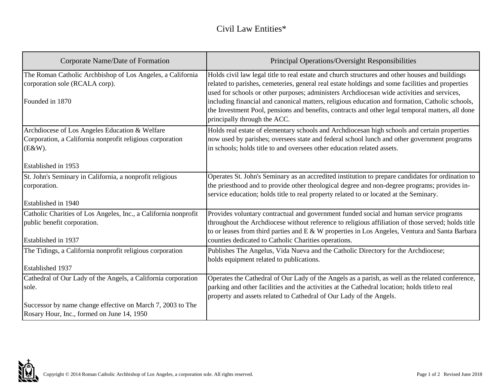## Civil Law Entities\*

| Corporate Name/Date of Formation                                                                                         | Principal Operations/Oversight Responsibilities                                                                                                                                                                                                                                                                                                                                                      |
|--------------------------------------------------------------------------------------------------------------------------|------------------------------------------------------------------------------------------------------------------------------------------------------------------------------------------------------------------------------------------------------------------------------------------------------------------------------------------------------------------------------------------------------|
| The Roman Catholic Archbishop of Los Angeles, a California<br>corporation sole (RCALA corp).<br>Founded in 1870          | Holds civil law legal title to real estate and church structures and other houses and buildings<br>related to parishes, cemeteries, general real estate holdings and some facilities and properties<br>used for schools or other purposes; administers Archdiocesan wide activities and services,<br>including financial and canonical matters, religious education and formation, Catholic schools, |
|                                                                                                                          | the Investment Pool, pensions and benefits, contracts and other legal temporal matters, all done<br>principally through the ACC.                                                                                                                                                                                                                                                                     |
| Archdiocese of Los Angeles Education & Welfare<br>Corporation, a California nonprofit religious corporation<br>$(E&W)$ . | Holds real estate of elementary schools and Archdiocesan high schools and certain properties<br>now used by parishes; oversees state and federal school lunch and other government programs<br>in schools; holds title to and oversees other education related assets.                                                                                                                               |
| Established in 1953                                                                                                      |                                                                                                                                                                                                                                                                                                                                                                                                      |
| St. John's Seminary in California, a nonprofit religious<br>corporation.                                                 | Operates St. John's Seminary as an accredited institution to prepare candidates for ordination to<br>the priesthood and to provide other theological degree and non-degree programs; provides in-<br>service education; holds title to real property related to or located at the Seminary.                                                                                                          |
| Established in 1940                                                                                                      |                                                                                                                                                                                                                                                                                                                                                                                                      |
| Catholic Charities of Los Angeles, Inc., a California nonprofit<br>public benefit corporation.                           | Provides voluntary contractual and government funded social and human service programs<br>throughout the Archdiocese without reference to religious affiliation of those served; holds title<br>to or leases from third parties and E & W properties in Los Angeles, Ventura and Santa Barbara                                                                                                       |
| Established in 1937                                                                                                      | counties dedicated to Catholic Charities operations.                                                                                                                                                                                                                                                                                                                                                 |
| The Tidings, a California nonprofit religious corporation                                                                | Publishes The Angelus, Vida Nueva and the Catholic Directory for the Archdiocese;<br>holds equipment related to publications.                                                                                                                                                                                                                                                                        |
| <b>Established 1937</b>                                                                                                  |                                                                                                                                                                                                                                                                                                                                                                                                      |
| Cathedral of Our Lady of the Angels, a California corporation<br>sole.                                                   | Operates the Cathedral of Our Lady of the Angels as a parish, as well as the related conference,<br>parking and other facilities and the activities at the Cathedral location; holds title to real<br>property and assets related to Cathedral of Our Lady of the Angels.                                                                                                                            |
| Successor by name change effective on March 7, 2003 to The<br>Rosary Hour, Inc., formed on June 14, 1950                 |                                                                                                                                                                                                                                                                                                                                                                                                      |